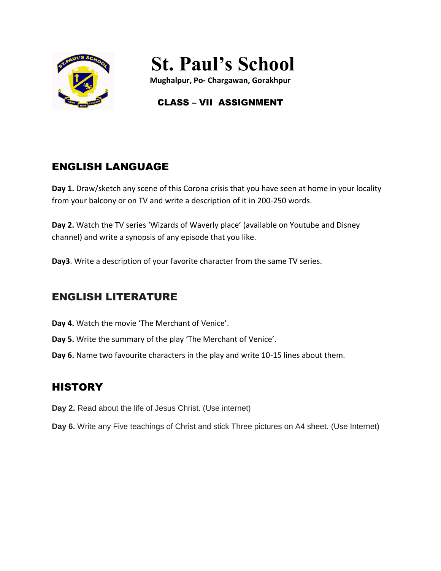

# **St. Paul's School**

**Mughalpur, Po- Chargawan, Gorakhpur**

# CLASS – VII ASSIGNMENT

# ENGLISH LANGUAGE

**Day 1.** Draw/sketch any scene of this Corona crisis that you have seen at home in your locality from your balcony or on TV and write a description of it in 200-250 words.

**Day 2.** Watch the TV series 'Wizards of Waverly place' (available on Youtube and Disney channel) and write a synopsis of any episode that you like.

**Day3**. Write a description of your favorite character from the same TV series.

# ENGLISH LITERATURE

- **Day 4.** Watch the movie 'The Merchant of Venice'.
- **Day 5.** Write the summary of the play 'The Merchant of Venice'.
- **Day 6.** Name two favourite characters in the play and write 10-15 lines about them.

# **HISTORY**

- **Day 2.** Read about the life of Jesus Christ. (Use internet)
- **Day 6.** Write any Five teachings of Christ and stick Three pictures on A4 sheet. (Use Internet)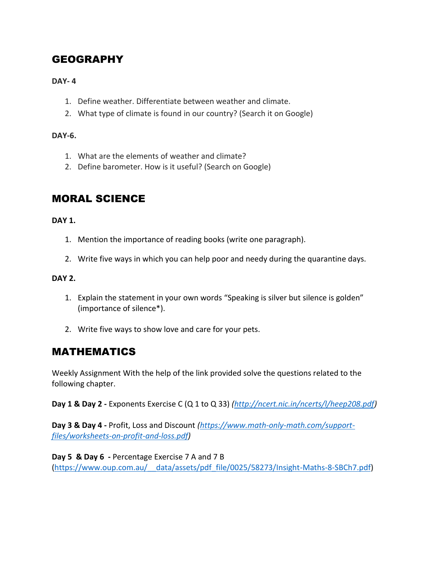# GEOGRAPHY

## **DAY- 4**

- 1. Define weather. Differentiate between weather and climate.
- 2. What type of climate is found in our country? (Search it on Google)

## **DAY-6.**

- 1. What are the elements of weather and climate?
- 2. Define barometer. How is it useful? (Search on Google)

# MORAL SCIENCE

#### **DAY 1.**

- 1. Mention the importance of reading books (write one paragraph).
- 2. Write five ways in which you can help poor and needy during the quarantine days.

## **DAY 2.**

- 1. Explain the statement in your own words "Speaking is silver but silence is golden" (importance of silence\*).
- 2. Write five ways to show love and care for your pets.

## MATHEMATICS

Weekly Assignment With the help of the link provided solve the questions related to the following chapter.

**Day 1 & Day 2 -** Exponents Exercise C (Q 1 to Q 33) *[\(http://ncert.nic.in/ncerts/l/heep208.pdf\)](http://ncert.nic.in/ncerts/l/heep208.pdf)*

**Day 3 & Day 4 -** Profit, Loss and Discount *[\(https://www.math-only-math.com/support](https://www.math-only-math.com/support-files/worksheets-on-profit-and-loss.pdf)[files/worksheets-on-profit-and-loss.pdf\)](https://www.math-only-math.com/support-files/worksheets-on-profit-and-loss.pdf)* 

**Day 5 & Day 6 -** Percentage Exercise 7 A and 7 B [\(https://www.oup.com.au/\\_\\_data/assets/pdf\\_file/0025/58273/Insight-Maths-8-SBCh7.pdf\)](https://www.oup.com.au/__data/assets/pdf_file/0025/58273/Insight-Maths-8-SBCh7.pdf)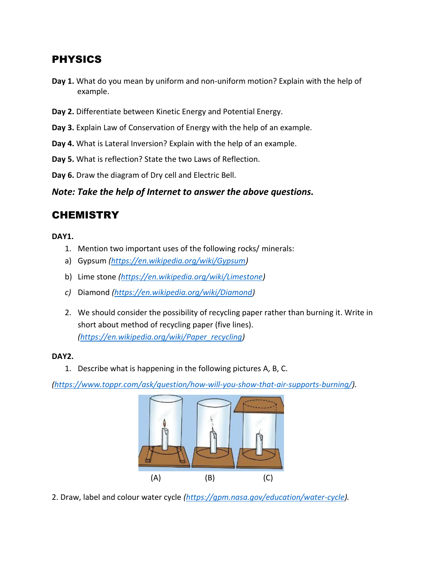## PHYSICS

- **Day 1.** What do you mean by uniform and non-uniform motion? Explain with the help of example.
- **Day 2.** Differentiate between Kinetic Energy and Potential Energy.
- **Day 3.** Explain Law of Conservation of Energy with the help of an example.
- **Day 4.** What is Lateral Inversion? Explain with the help of an example.
- **Day 5.** What is reflection? State the two Laws of Reflection.
- **Day 6.** Draw the diagram of Dry cell and Electric Bell.

*Note: Take the help of Internet to answer the above questions.*

## **CHEMISTRY**

#### **DAY1.**

- 1. Mention two important uses of the following rocks/ minerals:
- a) Gypsum *[\(https://en.wikipedia.org/wiki/Gypsum\)](https://en.wikipedia.org/wiki/Gypsum)*
- b) Lime stone *[\(https://en.wikipedia.org/wiki/Limestone\)](https://en.wikipedia.org/wiki/Limestone)*
- *c)* Diamond *[\(https://en.wikipedia.org/wiki/Diamond\)](https://en.wikipedia.org/wiki/Diamond)*
- 2. We should consider the possibility of recycling paper rather than burning it. Write in short about method of recycling paper (five lines). *[\(https://en.wikipedia.org/wiki/Paper\\_recycling\)](https://en.wikipedia.org/wiki/Paper_recycling)*

#### **DAY2.**

1. Describe what is happening in the following pictures A, B, C.

*[\(https://www.toppr.com/ask/question/how-will-you-show-that-air-supports-burning/\)](https://www.toppr.com/ask/question/how-will-you-show-that-air-supports-burning/).* 



2. Draw, label and colour water cycle *[\(https://gpm.nasa.gov/education/water-cycle\)](https://gpm.nasa.gov/education/water-cycle).*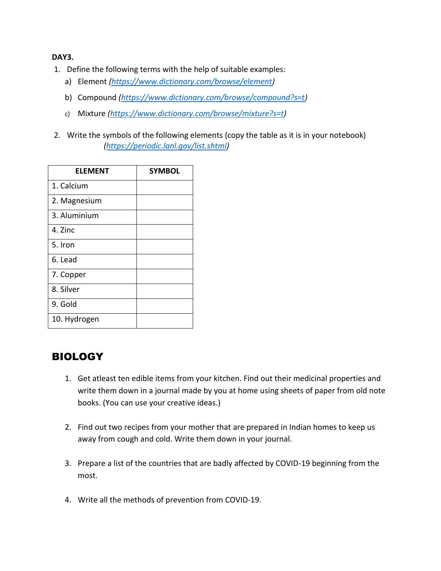#### **DAY3.**

- 1. Define the following terms with the help of suitable examples:
	- a) Element *[\(https://www.dictionary.com/browse/element\)](https://www.dictionary.com/browse/element)*
	- b) Compound *[\(https://www.dictionary.com/browse/compound?s=t\)](https://www.dictionary.com/browse/compound?s=t)*
	- c) Mixture *[\(https://www.dictionary.com/browse/mixture?s=t\)](https://www.dictionary.com/browse/mixture?s=t)*
- 2. Write the symbols of the following elements (copy the table as it is in your notebook) *[\(https://periodic.lanl.gov/list.shtml\)](https://periodic.lanl.gov/list.shtml)*

| <b>ELEMENT</b> | <b>SYMBOL</b> |
|----------------|---------------|
| 1. Calcium     |               |
| 2. Magnesium   |               |
| 3. Aluminium   |               |
| 4. Zinc        |               |
| 5. Iron        |               |
| 6. Lead        |               |
| 7. Copper      |               |
| 8. Silver      |               |
| 9. Gold        |               |
| 10. Hydrogen   |               |

# BIOLOGY

- 1. Get atleast ten edible items from your kitchen. Find out their medicinal properties and write them down in a journal made by you at home using sheets of paper from old note books. (You can use your creative ideas.)
- 2. Find out two recipes from your mother that are prepared in Indian homes to keep us away from cough and cold. Write them down in your journal.
- 3. Prepare a list of the countries that are badly affected by COVID-19 beginning from the most.
- 4. Write all the methods of prevention from COVID-19.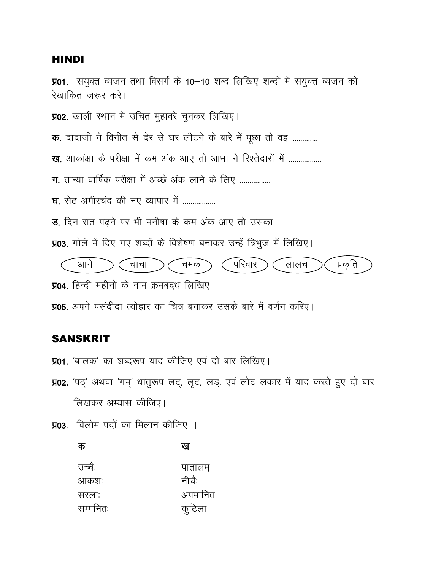### **HINDI**

**प्र01.** संयुक्त व्यंजन तथा विसर्ग के 10–10 शब्द लिखिए शब्दों में संयुक्त व्यंजन को रेखांकित जरूर करें। प्र02. खाली स्थान में उचित मुहावरे चुनकर लिखिए। क. दादाजी ने विनीत से देर से घर लौटने के बारे में पूछा तो वह ............. ख, आकांक्षा के परीक्षा में कम अंक आए तो आभा ने रिश्तेदारों में .................. ग. तान्या वार्षिक परीक्षा में अच्छे अंक लाने के लिए ................ घ. सेठ अमीरचंद की नए व्यापार में ................. ड. दिन रात पढने पर भी मनीषा के कम अंक आए तो उसका ................. प्र03. गोले में दिए गए शब्दों के विशेषण बनाकर उन्हें त्रिभुज में लिखिए। प्रकृति आगे परिवार चाचा चमक लालच प्र04. हिन्दी महीनों के नाम क्रमबद्ध लिखिए **प्र05.** अपने पसंदीदा त्योहार का चित्र बनाकर उसके बारे में वर्णन करिए।

## **SANSKRIT**

 $\mathbf{r}$ 

**प्र01.** 'बालक' का शब्दरूप याद कीजिए एवं दो बार लिखिए।

प्र02. 'पठ्' अथवा 'गम्' धातुरूप लट्, लृट, लड्. एवं लोट लकार में याद करते हुए दो बार लिखकर अभ्यास कीजिए।

तक

प्र03. विलोम पदों का मिलान कीजिए ।

| w        | τч      |
|----------|---------|
| उच्चै:   | पातालम् |
| आकशः     | नीचै:   |
| सरलाः    | अपमानित |
| सम्मनितः | कुटिला  |